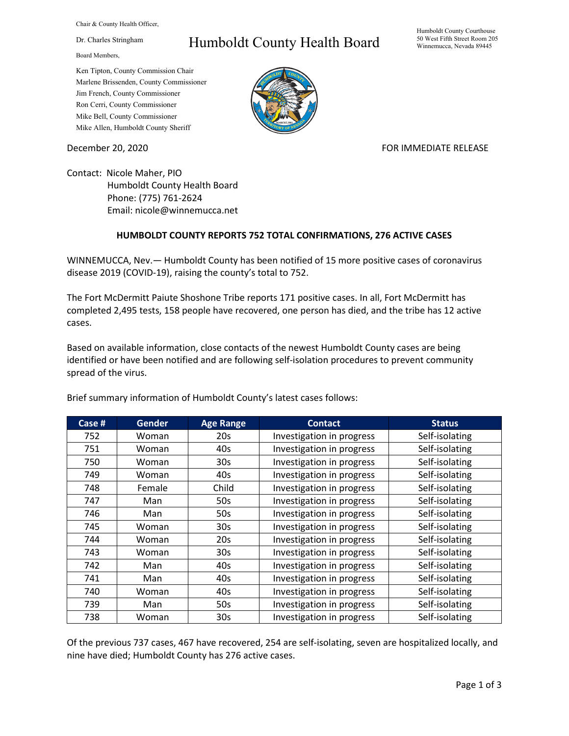Chair & County Health Officer,

Dr. Charles Stringham

Board Members,

## Humboldt County Health Board

Humboldt County Courthouse 50 West Fifth Street Room 205 Winnemucca, Nevada 89445

Ken Tipton, County Commission Chair Marlene Brissenden, County Commissioner Jim French, County Commissioner Ron Cerri, County Commissioner Mike Bell, County Commissioner Mike Allen, Humboldt County Sheriff

December 20, 2020 **FOR IMMEDIATE RELEASE** 

Contact: Nicole Maher, PIO Humboldt County Health Board Phone: (775) 761-2624 Email: nicole@winnemucca.net

## **HUMBOLDT COUNTY REPORTS 752 TOTAL CONFIRMATIONS, 276 ACTIVE CASES**

WINNEMUCCA, Nev.— Humboldt County has been notified of 15 more positive cases of coronavirus disease 2019 (COVID-19), raising the county's total to 752.

The Fort McDermitt Paiute Shoshone Tribe reports 171 positive cases. In all, Fort McDermitt has completed 2,495 tests, 158 people have recovered, one person has died, and the tribe has 12 active cases.

Based on available information, close contacts of the newest Humboldt County cases are being identified or have been notified and are following self-isolation procedures to prevent community spread of the virus.

| Case # | <b>Gender</b> | <b>Age Range</b> | <b>Contact</b>            | <b>Status</b>  |
|--------|---------------|------------------|---------------------------|----------------|
| 752    | Woman         | 20s              | Investigation in progress | Self-isolating |
| 751    | Woman         | 40s              | Investigation in progress | Self-isolating |
| 750    | Woman         | 30 <sub>s</sub>  | Investigation in progress | Self-isolating |
| 749    | Woman         | 40s              | Investigation in progress | Self-isolating |
| 748    | Female        | Child            | Investigation in progress | Self-isolating |
| 747    | Man           | 50s              | Investigation in progress | Self-isolating |
| 746    | Man           | 50s              | Investigation in progress | Self-isolating |
| 745    | Woman         | 30 <sub>s</sub>  | Investigation in progress | Self-isolating |
| 744    | Woman         | 20s              | Investigation in progress | Self-isolating |
| 743    | Woman         | 30 <sub>s</sub>  | Investigation in progress | Self-isolating |
| 742    | Man           | 40s              | Investigation in progress | Self-isolating |
| 741    | Man           | 40s              | Investigation in progress | Self-isolating |
| 740    | Woman         | 40s              | Investigation in progress | Self-isolating |
| 739    | Man           | 50s              | Investigation in progress | Self-isolating |
| 738    | Woman         | 30 <sub>s</sub>  | Investigation in progress | Self-isolating |

Brief summary information of Humboldt County's latest cases follows:

Of the previous 737 cases, 467 have recovered, 254 are self-isolating, seven are hospitalized locally, and nine have died; Humboldt County has 276 active cases.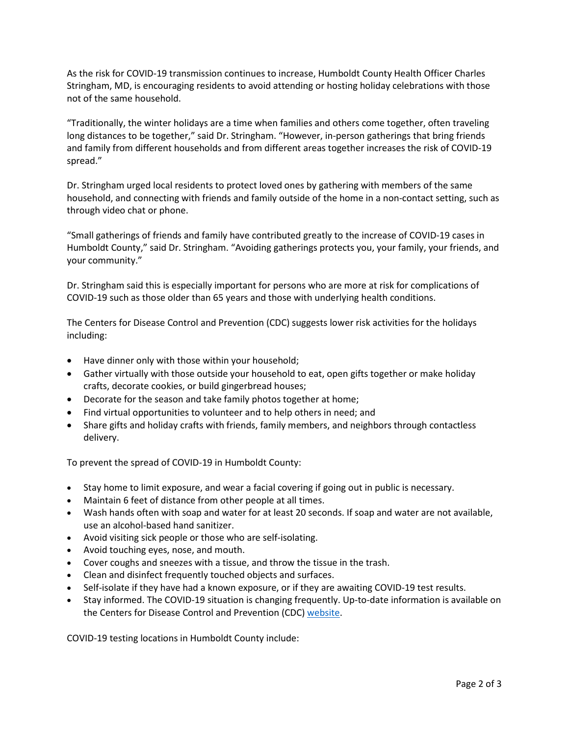As the risk for COVID-19 transmission continues to increase, Humboldt County Health Officer Charles Stringham, MD, is encouraging residents to avoid attending or hosting holiday celebrations with those not of the same household.

"Traditionally, the winter holidays are a time when families and others come together, often traveling long distances to be together," said Dr. Stringham. "However, in-person gatherings that bring friends and family from different households and from different areas together increases the risk of COVID-19 spread."

Dr. Stringham urged local residents to protect loved ones by gathering with members of the same household, and connecting with friends and family outside of the home in a non-contact setting, such as through video chat or phone.

"Small gatherings of friends and family have contributed greatly to the increase of COVID-19 cases in Humboldt County," said Dr. Stringham. "Avoiding gatherings protects you, your family, your friends, and your community."

Dr. Stringham said this is especially important for persons who are more at risk for complications of COVID-19 such as those older than 65 years and those with underlying health conditions.

The Centers for Disease Control and Prevention (CDC) suggests lower risk activities for the holidays including:

- Have dinner only with those within your household;
- Gather virtually with those outside your household to eat, open gifts together or make holiday crafts, decorate cookies, or build gingerbread houses;
- Decorate for the season and take family photos together at home;
- Find virtual opportunities to volunteer and to help others in need; and
- Share gifts and holiday crafts with friends, family members, and neighbors through contactless delivery.

To prevent the spread of COVID-19 in Humboldt County:

- Stay home to limit exposure, and wear a facial covering if going out in public is necessary.
- Maintain 6 feet of distance from other people at all times.
- Wash hands often with soap and water for at least 20 seconds. If soap and water are not available, use an alcohol-based hand sanitizer.
- Avoid visiting sick people or those who are self-isolating.
- Avoid touching eyes, nose, and mouth.
- Cover coughs and sneezes with a tissue, and throw the tissue in the trash.
- Clean and disinfect frequently touched objects and surfaces.
- Self-isolate if they have had a known exposure, or if they are awaiting COVID-19 test results.
- Stay informed. The COVID-19 situation is changing frequently. Up-to-date information is available on the Centers for Disease Control and Prevention (CDC) [website.](http://www.cdc.gov/coronavirus/2019-ncov/index.html)

COVID-19 testing locations in Humboldt County include: